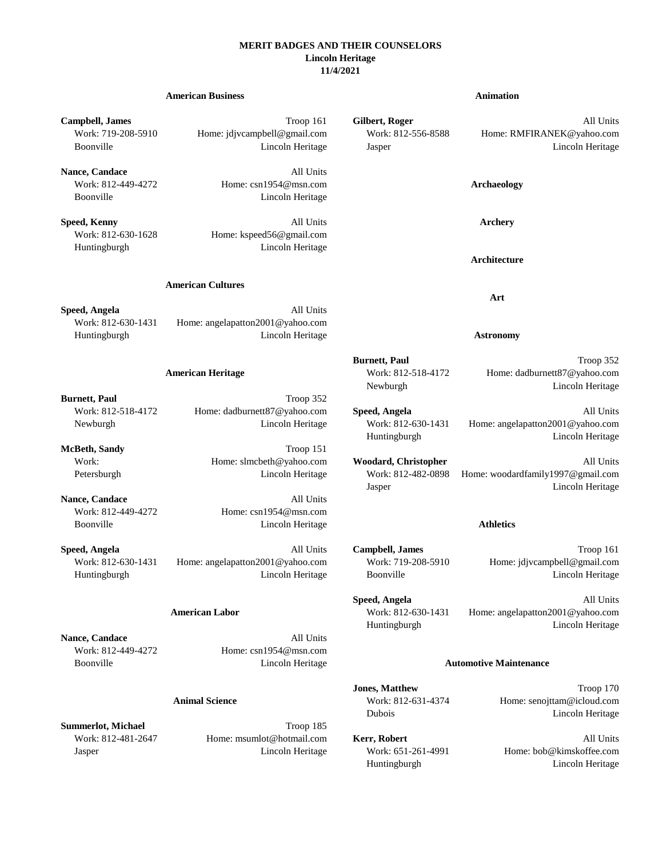### **MERIT BADGES AND THEIR COUNSELORS Lincoln Heritage 11/4/2021**

# **American Business Animation Campbell, James** Troop 161 **Gilbert, Roger** All Units Work: 719-208-5910 Home: jdjvcampbell@gmail.com Work: 812-556-8588 Home: RMFIRANEK@yahoo.com Boonville Lincoln Heritage Jasper Lincoln Heritage **Nance, Candace** All Units Work: 812-449-4272 Home: csn1954@msn.com **Archaeology** Boonville Lincoln Heritage **Speed, Kenny All Units Archery** All Units **Archery** Work: 812-630-1628 Home: kspeed56@gmail.com Huntingburgh Lincoln Heritage **Architecture American Cultures Art Speed, Angela** All Units Work: 812-630-1431 Home: angelapatton2001@yahoo.com Huntingburgh Lincoln Heritage **Astronomy Burnett, Paul** Troop 352 **American Heritage** Work: 812-518-4172 Home: dadburnett87@yahoo.com Newburgh Lincoln Heritage **Burnett, Paul** Troop 352 Work: 812-518-4172 Home: dadburnett87@yahoo.com **Speed, Angela** All Units Newburgh Lincoln Heritage Work: 812-630-1431 Home: angelapatton2001@yahoo.com Huntingburgh Lincoln Heritage **McBeth, Sandy** Troop 151 Work: **Home: slmcbeth@yahoo.com Woodard, Christopher** All Units Petersburgh Lincoln Heritage Work: 812-482-0898 Home: woodardfamily1997@gmail.com Jasper Lincoln Heritage **Nance, Candace** All Units Work: 812-449-4272 Home: csn1954@msn.com

**Speed, Angela** All Units **American Labor** Work: 812-630-1431 Home: angelapatton2001@yahoo.com Huntingburgh Lincoln Heritage

**Jones, Matthew Troop 170 Animal Science** Work: 812-631-4374 Home: senojttam@icloud.com Dubois Lincoln Heritage

Huntingburgh Lincoln Heritage

Boonville Lincoln Heritage **Athletics**

**Speed, Angela All Units Campbell, James Campbell, James Troop 161** Work: 812-630-1431 Home: angelapatton2001@yahoo.com Work: 719-208-5910 Home: jdjvcampbell@gmail.com Huntingburgh Lincoln Heritage Boonville Lincoln Heritage

**Nance, Candace** All Units Work: 812-449-4272 Home: csn1954@msn.com Boonville Lincoln Heritage **Automotive Maintenance**

**Summerlot, Michael Troop 185** Work: 812-481-2647 Home: msumlot@hotmail.com **Kerr, Robert** All Units Jasper Lincoln Heritage Work: 651-261-4991 Home: bob@kimskoffee.com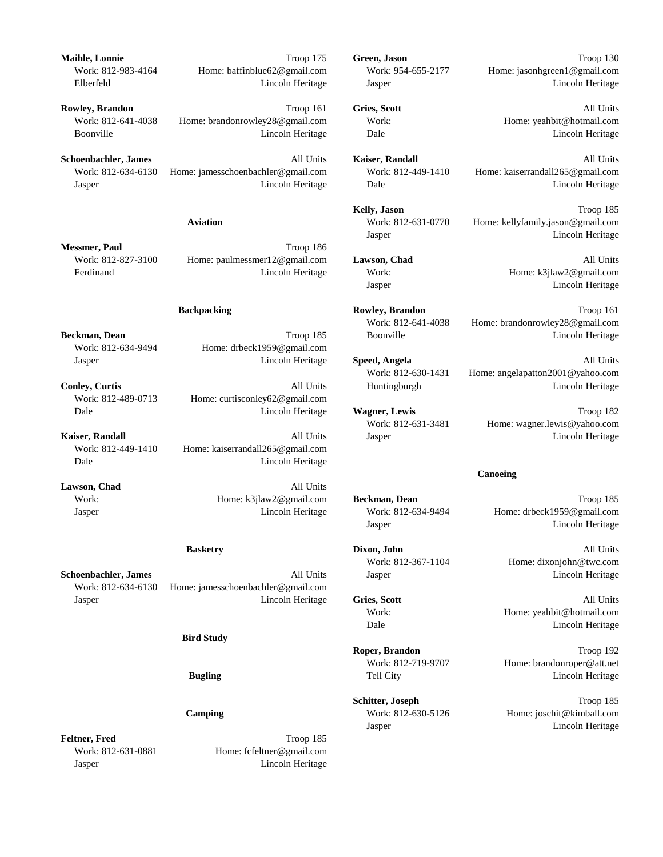**Schoenbachler, James** All Units **Kaiser, Randall All Units All Units All Units** Work: 812-634-6130 Home: jamesschoenbachler@gmail.com Work: 812-449-1410 Home: kaiserrandall265@gmail.com Jasper Lincoln Heritage Dale Lincoln Heritage

**Messmer, Paul** Troop 186 Work: 812-827-3100 Home: paulmessmer12@gmail.com **Lawson, Chad** All Units Ferdinand Lincoln Heritage Work: Home: k3jlaw2@gmail.com

Work: 812-634-9494 Home: drbeck1959@gmail.com

Work: 812-489-0713 Home: curtisconley62@gmail.com

Work: 812-449-1410 Home: kaiserrandall265@gmail.com Dale Lincoln Heritage

Lawson, Chad All Units

Work: 812-634-6130 Home: jamesschoenbachler@gmail.com Jasper Lincoln Heritage **Gries, Scott** All Units

### **Bird Study**

Feltner, Fred Troop 185 Work: 812-631-0881 Home: fcfeltner@gmail.com Jasper Lincoln Heritage

**Maihle, Lonnie** Troop 175 **Green, Jason** Troop 130 Work: 812-983-4164 Home: baffinblue62@gmail.com Work: 954-655-2177 Home: jasonhgreen1@gmail.com Elberfeld Lincoln Heritage Jasper Lincoln Heritage

**Rowley, Brandon Computer Computer Section 161 Gries, Scott Computer Computer All Units** Work: 812-641-4038 Home: brandonrowley28@gmail.com Work: Home: yeahbit@hotmail.com Boonville Lincoln Heritage Dale Lincoln Heritage

Kelly, Jason Troop 185 **Aviation** Work: 812-631-0770 Home: kellyfamily.jason@gmail.com Jasper Lincoln Heritage

Jasper Lincoln Heritage

**Backpacking Rowley, Brandon Rowley, Brandon Troop 161** Work: 812-641-4038 Home: brandonrowley28@gmail.com **Beckman, Dean Example 2018** Encode Lincoln Heritage **Conville** Encode Lincoln Heritage **Lincoln Heritage** 

Jasper Lincoln Heritage **Speed, Angela** All Units Work: 812-630-1431 Home: angelapatton2001@yahoo.com **Conley, Curtis Conley, Curtis All Units** Huntingburgh **Lincoln Heritage** 

Dale Lincoln Heritage **Wagner, Lewis** Troop 182 Work: 812-631-3481 Home: wagner.lewis@yahoo.com **Kaiser, Randall All Units** Jasper **Lincoln Heritage Lincoln Heritage All Units** Jasper **Lincoln Heritage** 

### **Canoeing**

Work: **Home: k3jlaw2@gmail.com Beckman, Dean** Troop 185 Jasper Lincoln Heritage Work: 812-634-9494 Home: drbeck1959@gmail.com Jasper Lincoln Heritage

**Basketry Dixon, John Dixon, John All Units** Work: 812-367-1104 Home: dixonjohn@twc.com **Schoenbachler, James All Units** Jasper **All Units** Jasper **Lincoln Heritage** 

> Work: Home: yeahbit@hotmail.com Dale Lincoln Heritage

**Roper, Brandon** Troop 192 Work: 812-719-9707 Home: brandonroper@att.net **Bugling** Tell City **Tell City Lincoln Heritage** 

**Schitter, Joseph** Troop 185 **Camping** Work: 812-630-5126 Home: joschit@kimball.com Jasper Lincoln Heritage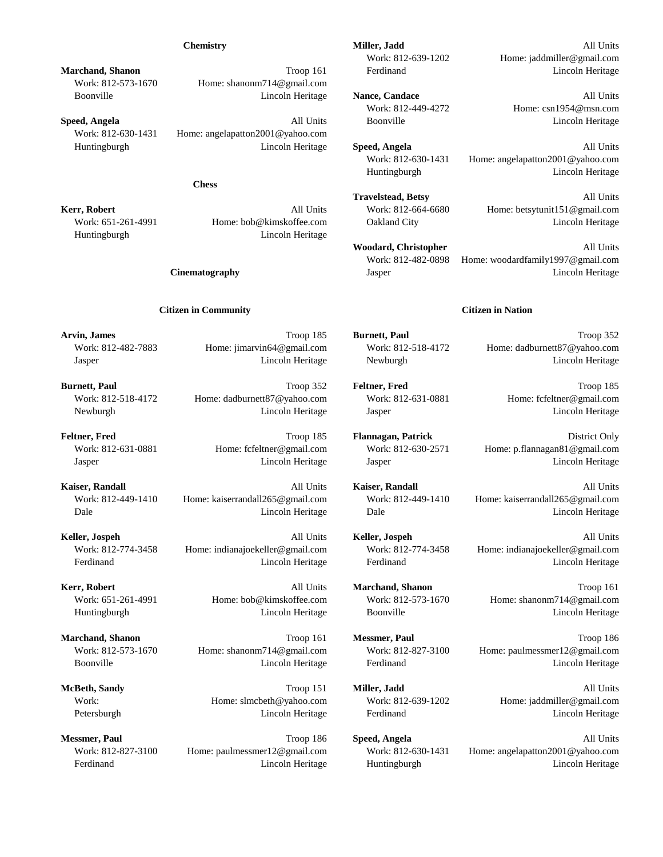Work: 812-573-1670 Home: shanonm714@gmail.com

Work: 812-630-1431 Home: angelapatton2001@yahoo.com

### **Chess**

Huntingburgh Lincoln Heritage

### **Citizen in Community Citizen in Nation**

Work: 812-518-4172 Home: dadburnett87@yahoo.com Work: 812-631-0881 Home: fcfeltner@gmail.com Newburgh Lincoln Heritage Jasper Lincoln Heritage

**Kaiser, Randall** All Units **Kaiser, Randall** All Units

**Chemistry All Units Miller, Jadd Miller, Jadd All Units** Work: 812-639-1202 Home: jaddmiller@gmail.com **Marchand, Shanon Troop 161** Ferdinand **Lincoln Heritage** 

Boonville Lincoln Heritage **Nance, Candace** All Units Work: 812-449-4272 Home: csn1954@msn.com **Speed, Angela All Units** Boonville **All Units** Boonville **Lincoln Heritage** 

Huntingburgh Lincoln Heritage **Speed, Angela** All Units Work: 812-630-1431 Home: angelapatton2001@yahoo.com Huntingburgh Lincoln Heritage

**Travelstead, Betsy** All Units **Kerr, Robert All Units** Work: 812-664-6680 Home: betsytunit151@gmail.com Work: 651-261-4991 Home: bob@kimskoffee.com Oakland City Lincoln Heritage Lincoln Heritage

> Woodard, Christopher All Units Work: 812-482-0898 Home: woodardfamily1997@gmail.com **Cinematography Cinematography Lincoln Heritage Lincoln Heritage Lincoln Heritage**

**Arvin, James** Troop 185 **Burnett, Paul** Troop 352 Work: 812-482-7883 Home: jimarvin64@gmail.com Work: 812-518-4172 Home: dadburnett87@yahoo.com Jasper Lincoln Heritage Newburgh Lincoln Heritage

**Burnett, Paul** Troop 352 **Feltner, Fred** Troop 185

**Feltner, Fred** Troop 185 **Flannagan, Patrick** District Only Work: 812-631-0881 Home: fcfeltner@gmail.com Work: 812-630-2571 Home: p.flannagan81@gmail.com Jasper Lincoln Heritage Jasper Lincoln Heritage

Work: 812-449-1410 Home: kaiserrandall265@gmail.com Work: 812-449-1410 Home: kaiserrandall265@gmail.com Dale Lincoln Heritage Dale Lincoln Heritage

**Keller, Jospeh** All Units **Keller, Jospeh** All Units Work: 812-774-3458 Home: indianajoekeller@gmail.com Work: 812-774-3458 Home: indianajoekeller@gmail.com Ferdinand Lincoln Heritage Ferdinand Lincoln Heritage

**Kerr, Robert** Troop 161 **All Units Marchand, Shanon All Units Marchand, Shanon Troop 161** Work: 651-261-4991 Home: bob@kimskoffee.com Work: 812-573-1670 Home: shanonm714@gmail.com Huntingburgh Lincoln Heritage Boonville Lincoln Heritage

**Marchand, Shanon** Troop 161 **Messmer, Paul** Troop 186 Work: 812-573-1670 Home: shanonm714@gmail.com Work: 812-827-3100 Home: paulmessmer12@gmail.com Boonville Lincoln Heritage Ferdinand Lincoln Heritage

**McBeth, Sandy** Troop 151 **Miller, Jadd** All Units Work: Home: slmcbeth@yahoo.com Work: 812-639-1202 Home: jaddmiller@gmail.com Petersburgh **Lincoln Heritage** Ferdinand **Lincoln Heritage Lincoln Heritage** Reformance Lincoln Heritage Lincoln Heritage

**Messmer, Paul 1988 1988 1998 1899 186 1999 186 Speed, Angela** All Units All Units Work: 812-827-3100 Home: paulmessmer12@gmail.com Work: 812-630-1431 Home: angelapatton2001@yahoo.com Ferdinand Lincoln Heritage Huntingburgh Lincoln Heritage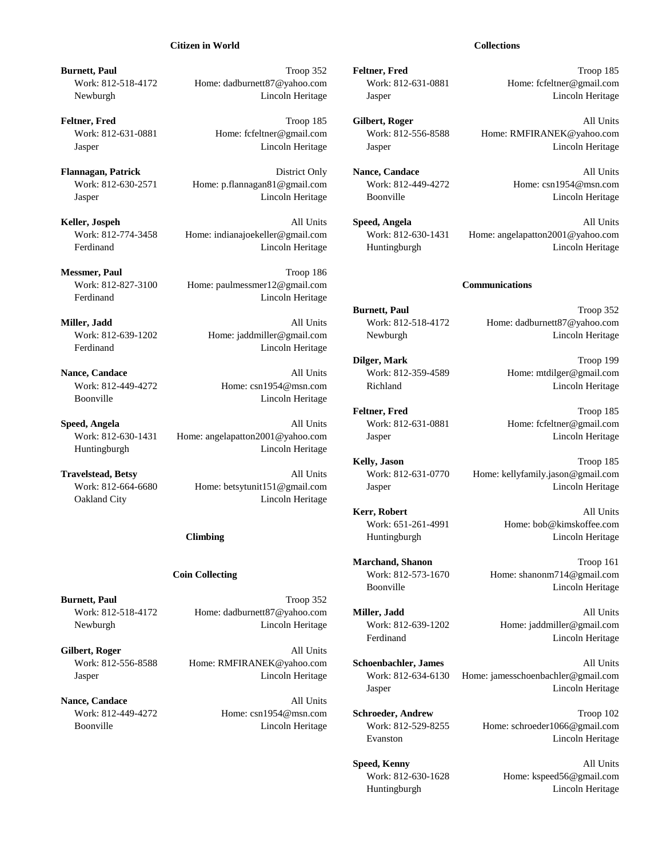### **Citizen in World Collections**

**Burnett, Paul** Troop 352 **Feltner, Fred** Troop 185 Work: 812-518-4172 Home: dadburnett87@yahoo.com Work: 812-631-0881 Home: fcfeltner@gmail.com Newburgh Lincoln Heritage Jasper Lincoln Heritage

**Feltner, Fred** Troop 185 **Gilbert, Roger** All Units

**Flannagan, Patrick** District Only **Nance, Candace** All Units Work: 812-630-2571 Home: p.flannagan81@gmail.com Work: 812-449-4272 Home: csn1954@msn.com Jasper Lincoln Heritage Boonville Lincoln Heritage

**Messmer, Paul** Troop 186 Work: 812-827-3100 Home: paulmessmer12@gmail.com **Communications** Ferdinand Lincoln Heritage

Ferdinand Lincoln Heritage

Boonville Lincoln Heritage

**Speed, Angela All Units** Work: 812-631-0881 Home: fcfeltner@gmail.com Work: 812-630-1431 Home: angelapatton2001@yahoo.com Jasper Jasper Lincoln Heritage Huntingburgh Lincoln Heritage

Oakland City **Lincoln Heritage** 

**Burnett, Paul** Troop 352 Work: 812-518-4172 Home: dadburnett87@yahoo.com **Miller, Jadd** All Units Newburgh Lincoln Heritage Work: 812-639-1202 Home: jaddmiller@gmail.com

Gilbert, Roger All Units

**Nance, Candace** All Units

Work: 812-631-0881 Home: fcfeltner@gmail.com Work: 812-556-8588 Home: RMFIRANEK@yahoo.com Jasper Lincoln Heritage Jasper Lincoln Heritage

**Keller, Jospeh** All Units **Speed, Angela** All Units Work: 812-774-3458 Home: indianajoekeller@gmail.com Work: 812-630-1431 Home: angelapatton2001@yahoo.com Ferdinand Lincoln Heritage Huntingburgh Lincoln Heritage

**Burnett, Paul** Troop 352 **Miller, Jadd All Units** Work: 812-518-4172 Home: dadburnett87@yahoo.com Work: 812-639-1202 Home: jaddmiller@gmail.com Newburgh Lincoln Heritage

**Dilger, Mark** Troop 199 **Nance, Candace** All Units Work: 812-359-4589 Home: mtdilger@gmail.com Work: 812-449-4272 Home: csn1954@msn.com Richland Lincoln Heritage

Feltner, Fred Troop 185

**Kelly, Jason** Troop 185 **Travelstead, Betsy All Units** Work: 812-631-0770 Home: kellyfamily.jason@gmail.com Work: 812-664-6680 Home: betsytunit151@gmail.com Jasper Jasper Lincoln Heritage

> Kerr, Robert **All Units** Work: 651-261-4991 Home: bob@kimskoffee.com **Climbing** Huntingburgh Huntingburgh Lincoln Heritage

**Marchand, Shanon** Troop 161 **Coin Collecting** Work: 812-573-1670 Home: shanonm714@gmail.com Boonville Lincoln Heritage

Ferdinand Lincoln Heritage

Work: 812-556-8588 Home: RMFIRANEK@yahoo.com **Schoenbachler, James** All Units Jasper Lincoln Heritage Work: 812-634-6130 Home: jamesschoenbachler@gmail.com Jasper Lincoln Heritage

Work: 812-449-4272 Home: csn1954@msn.com **Schroeder, Andrew** Troop 102 Boonville **Lincoln Heritage** Work: 812-529-8255 Home: schroeder1066@gmail.com Evanston Lincoln Heritage

> **Speed, Kenny** All Units Work: 812-630-1628 Home: kspeed56@gmail.com Huntingburgh Lincoln Heritage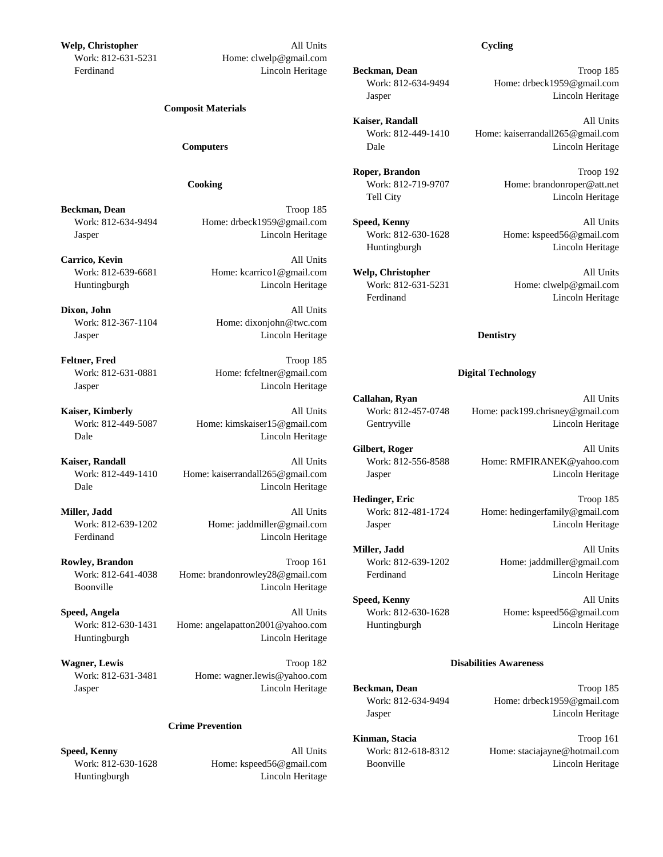**Welp, Christopher** All Units **Cycling** Work: 812-631-5231 Home: clwelp@gmail.com Ferdinand Lincoln Heritage **Beckman, Dean** Troop 185

### **Composit Materials**

**Beckman, Dean** Troop 185 Work: 812-634-9494 Home: drbeck1959@gmail.com **Speed, Kenny** All Units Jasper Lincoln Heritage Work: 812-630-1628 Home: kspeed56@gmail.com

**Carrico, Kevin** All Units Work: 812-639-6681 Home: kcarrico1@gmail.com **Welp, Christopher** All Units Huntingburgh Lincoln Heritage Work: 812-631-5231 Home: clwelp@gmail.com

**Dixon, John** All Units Work: 812-367-1104 Home: dixonjohn@twc.com Jasper Lincoln Heritage **Dentistry**

**Feltner, Fred** Troop 185 Work: 812-631-0881 Home: fcfeltner@gmail.com **Digital Technology** Jasper Lincoln Heritage

Dale Lincoln Heritage

**Kaiser, Randall Kaiser, Randall** All Units Work: 812-556-8588 Home: RMFIRANEK@yahoo.com Work: 812-449-1410 Home: kaiserrandall265@gmail.com Jasper Lincoln Heritage Lincoln Heritage Dale Lincoln Heritage

Ferdinand Lincoln Heritage

**Rowley, Brandon** Troop 161 Work: 812-639-1202 Home: jaddmiller@gmail.com Work: 812-641-4038 Home: brandonrowley28@gmail.com Ferdinand Ferdinand Lincoln Heritage Boonville Lincoln Heritage

**Speed, Angela All Units** Work: 812-630-1628 Home: kspeed56@gmail.com Work: 812-630-1431 Home: angelapatton2001@yahoo.com Huntingburgh Lincoln Heritage Huntingburgh Lincoln Heritage

**Wagner, Lewis** Troop 182 **Disabilities Awareness** Work: 812-631-3481 Home: wagner.lewis@yahoo.com Jasper Lincoln Heritage **Beckman, Dean** Troop 185

### **Crime Prevention**

Huntingburgh Lincoln Heritage

Work: 812-634-9494 Home: drbeck1959@gmail.com Jasper Lincoln Heritage

**Kaiser, Randall** All Units Work: 812-449-1410 Home: kaiserrandall265@gmail.com **Computers Computers Dale Dale Dale Lincoln Heritage** 

**Roper, Brandon** Troop 192 **Cooking** Work: 812-719-9707 Home: brandonroper@att.net Tell City **Lincoln Heritage** 

Huntingburgh Lincoln Heritage

Ferdinand Lincoln Heritage

**Callahan, Ryan** All Units **Kaiser, Kimberly All Units** Work: 812-457-0748 Home: pack199.chrisney@gmail.com Work: 812-449-5087 Home: kimskaiser15@gmail.com Gentryville Lincoln Heritage Lincoln Heritage

Gilbert, Roger All Units

**Hedinger, Eric** Troop 185

**Miller, Jadd All Units** Work: 812-481-1724 Home: hedingerfamily@gmail.com Work: 812-639-1202 Home: jaddmiller@gmail.com Jasper Lincoln Heritage

**Miller, Jadd** All Units

**Speed, Kenny** All Units

Work: 812-634-9494 Home: drbeck1959@gmail.com Jasper Lincoln Heritage

**Kinman, Stacia** Troop 161 **Speed, Kenny All Units** Work: 812-618-8312 Home: staciajayne@hotmail.com Work: 812-630-1628 Home: kspeed56@gmail.com Boonville Boonville Lincoln Heritage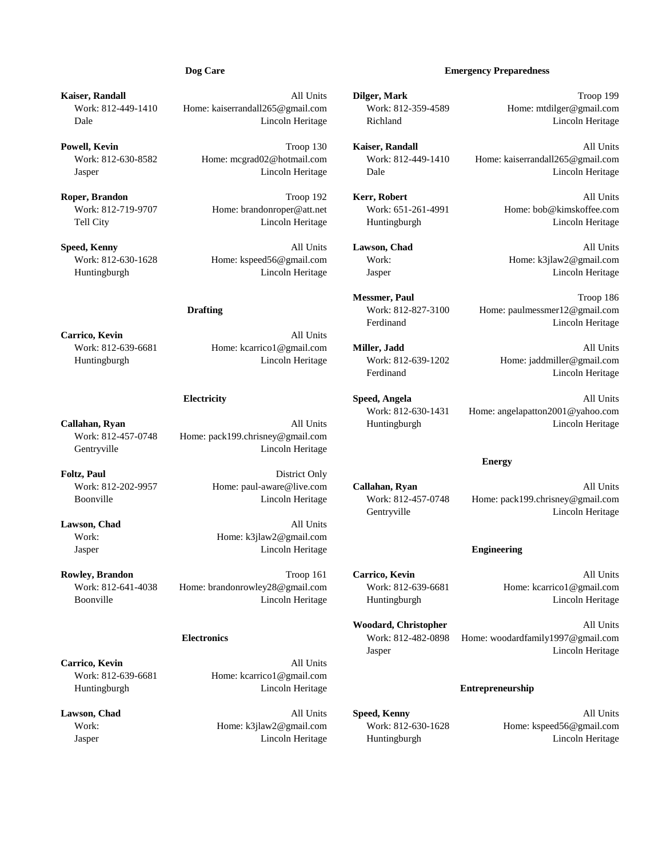**Kaiser, Randall** All Units **Dilger, Mark** Troop 199

**Roper, Brandon** Troop 192 **Kerr, Robert** All Units

**Speed, Kenny** All Units **Lawson, Chad** All Units Work: 812-630-1628 Home: kspeed56@gmail.com Work: Home: k3jlaw2@gmail.com Huntingburgh Lincoln Heritage Jasper Lincoln Heritage

**Carrico, Kevin** All Units

Work: 812-639-6681 Home: kcarrico1@gmail.com **Miller, Jadd** All Units Huntingburgh Lincoln Heritage Work: 812-639-1202 Home: jaddmiller@gmail.com

**Callahan, Ryan All Units** Huntingburgh **Lincoln Heritage** Lincoln Heritage Work: 812-457-0748 Home: pack199.chrisney@gmail.com Gentryville Lincoln Heritage

Foltz, Paul District Only

Lawson, Chad All Units Work: Home: k3jlaw2@gmail.com Jasper Lincoln Heritage **Engineering**

**Rowley, Brandon** Troop 161 **Carrico, Kevin** All Units Work: 812-641-4038 Home: brandonrowley28@gmail.com Work: 812-639-6681 Home: kcarrico1@gmail.com Boonville **Lincoln Heritage** Huntingburgh Heritage Huntingburgh Lincoln Heritage Lincoln Heritage

**Carrico, Kevin** All Units Work: 812-639-6681 Home: kcarrico1@gmail.com Huntingburgh Lincoln Heritage **Entrepreneurship**

### **Dog Care Emergency Preparedness**

Work: 812-449-1410 Home: kaiserrandall265@gmail.com Work: 812-359-4589 Home: mtdilger@gmail.com Dale Lincoln Heritage Richland Lincoln Heritage

**Powell, Kevin** All Units **Powell, Kevin** All Units **Troop 130 Kaiser, Randall All Units** All Units **All Units** Work: 812-630-8582 Home: mcgrad02@hotmail.com Work: 812-449-1410 Home: kaiserrandall265@gmail.com Jasper Lincoln Heritage Dale Lincoln Heritage

Work: 812-719-9707 Home: brandonroper@att.net Work: 651-261-4991 Home: bob@kimskoffee.com Tell City Lincoln Heritage Huntingburgh Lincoln Heritage

**Messmer, Paul** Troop 186 **Drafting** Work: 812-827-3100 Home: paulmessmer12@gmail.com Ferdinand Lincoln Heritage

Ferdinand Lincoln Heritage

**Electricity Speed, Angela** All Units Work: 812-630-1431 Home: angelapatton2001@yahoo.com

Work: 812-202-9957 Home: paul-aware@live.com **Callahan, Ryan** All Units Boonville Lincoln Heritage Work: 812-457-0748 Home: pack199.chrisney@gmail.com Gentryville Lincoln Heritage

**Energy**

**Woodard, Christopher** All Units

**Electronics** Work: 812-482-0898 Home: woodardfamily1997@gmail.com Jasper Lincoln Heritage

**Lawson, Chad** All Units **Speed, Kenny** All Units Work: https://education.com Mork: 812-630-1628 Home: kspeed56@gmail.com Home: kspeed56.com Home: kspeed56.com Home: kspeed56.com Home: kspeed56.com Home: kspeed56.com Home: kspeed56.com Home: kspeed56.com Home: kspeed56.co Jasper Lincoln Heritage Huntingburgh Lincoln Heritage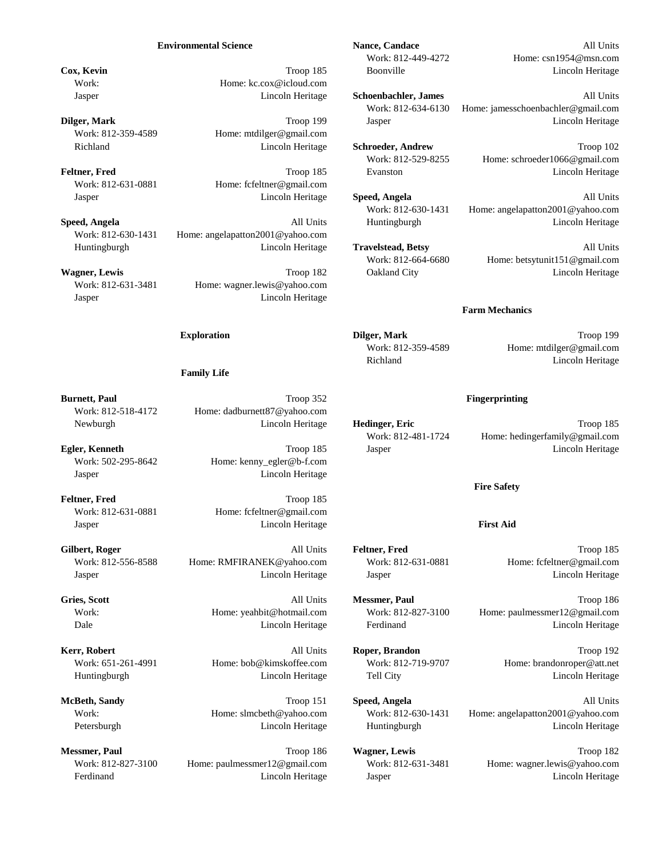### **Environmental Science Nance, Candace Nance, Candace All Units**

**Cox, Kevin Cox, Kevin Cox, Kevin Cox, Kevin Cox, Kevin Cox, Kevin Cox, Kevin Cox, Kevin Cox, Kevin Cox, Kevin Cox, Kevin Cox, Kevin Cox, Kevin Cox, Kevin Cox, Kevin Cox, Kevin Cox, Kevin** Work: Home: kc.cox@icloud.com

Work: 812-359-4589 Home: mtdilger@gmail.com

Work: 812-631-0881 Home: fcfeltner@gmail.com

Work: 812-630-1431 Home: angelapatton2001@yahoo.com Huntingburgh Lincoln Heritage **Travelstead, Betsy** All Units

**Wagner, Lewis** Community Community Community Community Community Community Community Community Community Community Community Community Community Community Community Community Community Community Community Community Commun Work: 812-631-3481 Home: wagner.lewis@yahoo.com Jasper Lincoln Heritage

### **Family Life**

**Burnett, Paul From Troop 352 <b>Fingerprinting** Financial Troop 352 **Fingerprinting** Work: 812-518-4172 Home: dadburnett87@yahoo.com Newburgh Lincoln Heritage **Hedinger, Eric** Troop 185

Work: 502-295-8642 Home: kenny\_egler@b-f.com Jasper Lincoln Heritage

Feltner, Fred Troop 185 Work: 812-631-0881 Home: fcfeltner@gmail.com Jasper Lincoln Heritage **First Aid**

**Gilbert, Roger** All Units **Feltner, Fred** Troop 185 Work: 812-556-8588 Home: RMFIRANEK@yahoo.com Work: 812-631-0881 Home: fcfeltner@gmail.com Jasper Lincoln Heritage Jasper Lincoln Heritage

Work: 812-827-3100 Home: paulmessmer12@gmail.com Work: 812-631-3481 Home: wagner.lewis@yahoo.com Ferdinand Lincoln Heritage Jasper Lincoln Heritage

Work: 812-449-4272 Home: csn1954@msn.com

Jasper Lincoln Heritage **Schoenbachler, James** All Units Work: 812-634-6130 Home: jamesschoenbachler@gmail.com **Dilger, Mark** Lincoln Heritage **Troop 199** Jasper Jasper Lincoln Heritage

Richland Lincoln Heritage **Schroeder, Andrew** Troop 102 Work: 812-529-8255 Home: schroeder1066@gmail.com **Feltner, Fred** Evanston Evanston Lincoln Heritage Lincoln Heritage **Constant Lincoln Heritage** 

Jasper Lincoln Heritage **Speed, Angela** All Units Work: 812-630-1431 Home: angelapatton2001@yahoo.com **Speed, Angela All Units** Huntingburgh Lincoln Heritage **Lincoln Heritage** 

Work: 812-664-6680 Home: betsytunit151@gmail.com

### **Farm Mechanics**

**Exploration Dilger, Mark Difference** *Dilger***, Mark Troop 199** Work: 812-359-4589 Home: mtdilger@gmail.com Richland Lincoln Heritage

Work: 812-481-1724 Home: hedingerfamily@gmail.com **Egler, Kenneth Egler, Kenneth Troop 185** Jasper **Lincoln Heritage** Lincoln Heritage

**Fire Safety**

**Gries, Scott** All Units **Messmer, Paul** Troop 186 Work: Home: yeahbit@hotmail.com Work: 812-827-3100 Home: paulmessmer12@gmail.com Dale Lincoln Heritage Ferdinand Lincoln Heritage

**Kerr, Robert** All Units **Roper, Brandon** Troop 192 Work: 651-261-4991 Home: bob@kimskoffee.com Work: 812-719-9707 Home: brandonroper@att.net Huntingburgh Lincoln Heritage Tell City Lincoln Heritage

**McBeth, Sandy Computer Speed, Angela Computer Speed, Angela All Units** Work: Home: slmcbeth@yahoo.com Work: 812-630-1431 Home: angelapatton2001@yahoo.com Petersburgh Lincoln Heritage Huntingburgh Lincoln Heritage

**Messmer, Paul Troop 186 Wagner, Lewis** Troop 182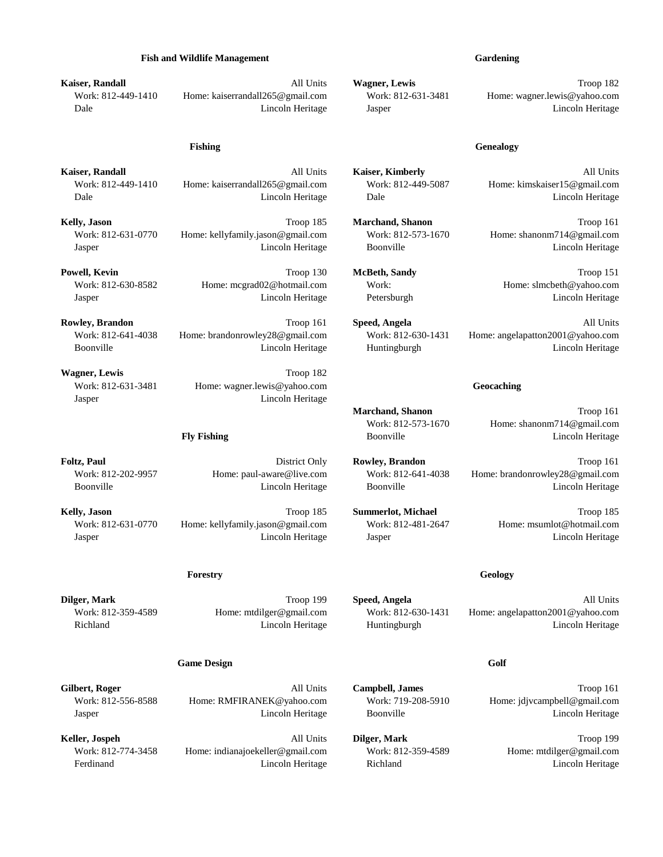### **Fish and Wildlife Management Gardening**

**Kaiser, Randall** All Units **Wagner, Lewis** Troop 182 Work: 812-449-1410 Home: kaiserrandall265@gmail.com Work: 812-631-3481 Home: wagner.lewis@yahoo.com Dale Lincoln Heritage Jasper Lincoln Heritage

Work: 812-449-1410 Home: kaiserrandall265@gmail.com Work: 812-449-5087 Home: kimskaiser15@gmail.com Dale Lincoln Heritage Dale Lincoln Heritage

**Kelly, Jason** Troop 185 **Marchand, Shanon** Troop 161 Work: 812-631-0770 Home: kellyfamily.jason@gmail.com Work: 812-573-1670 Home: shanonm714@gmail.com Jasper Lincoln Heritage Boonville Lincoln Heritage

**Powell, Kevin** Troop 130 **McBeth, Sandy** Troop 151 Work: 812-630-8582 Home: mcgrad02@hotmail.com Work: Home: slmcbeth@yahoo.com Jasper Lincoln Heritage Petersburgh Lincoln Heritage

**Rowley, Brandon Company Company 161 Speed, Angela All Units** All Units Work: 812-641-4038 Home: brandonrowley28@gmail.com Work: 812-630-1431 Home: angelapatton2001@yahoo.com Boonville Lincoln Heritage Huntingburgh Lincoln Heritage

Wagner, Lewis Troop 182 Work: 812-631-3481 Home: wagner.lewis@yahoo.com **Geocaching** Geocaching Jasper Lincoln Heritage

**Foltz, Paul** District Only **Rowley, Brandon** Troop 161 Work: 812-202-9957 Home: paul-aware@live.com Work: 812-641-4038 Home: brandonrowley28@gmail.com Boonville Lincoln Heritage Boonville Lincoln Heritage

**Kelly, Jason** Troop 185 **Summerlot, Michael** Troop 185 Work: 812-631-0770 Home: kellyfamily.jason@gmail.com Work: 812-481-2647 Home: msumlot@hotmail.com Jasper Lincoln Heritage Jasper Lincoln Heritage

### **Forestry Geology**

### **Game Design Golf**

Work: 812-556-8588 Home: RMFIRANEK@yahoo.com Work: 719-208-5910 Home: jdjvcampbell@gmail.com Jasper Lincoln Heritage Boonville Lincoln Heritage

**Keller, Jospeh** All Units **Dilger, Mark** Troop 199 Work: 812-774-3458 Home: indianajoekeller@gmail.com Work: 812-359-4589 Home: mtdilger@gmail.com Ferdinand Lincoln Heritage Richland Lincoln Heritage

**Kaiser, Randall** All Units **Kaiser, Kimberly** All Units

**Dilger, Mark** All Units **Troop 199 Speed, Angela** All Units All Units **All Units** Work: 812-359-4589 Home: mtdilger@gmail.com Work: 812-630-1431 Home: angelapatton2001@yahoo.com Richland Lincoln Heritage Huntingburgh Lincoln Heritage

**Gilbert, Roger** Troop 161 **All Units Campbell, James** Troop 161

**Marchand, Shanon** Troop 161 Work: 812-573-1670 Home: shanonm714@gmail.com **Fly Fishing Boonville Example 2008 Example 2008 Example 2018 Example 2018 Example 2018 Example 2018 Example 2018 Example 2018 Example 2018 Example 2018 Example 2018 Example 2018 Example 2018**

# **Fishing Genealogy**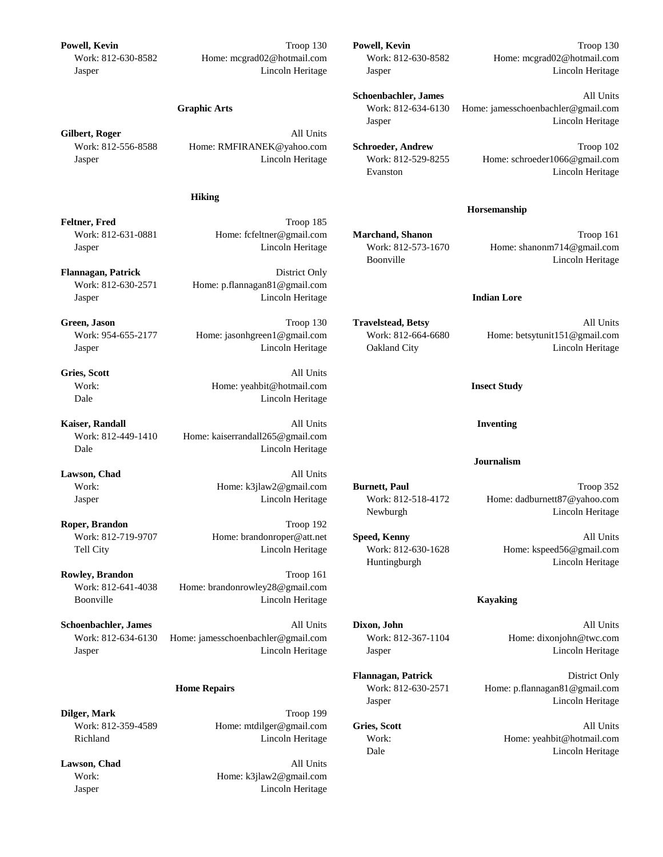**Powell, Kevin** Troop 130 **Powell, Kevin** Troop 130

### **Hiking**

**Feltner, Fred** Troop 185

Flannagan, Patrick District Only Work: 812-630-2571 Home: p.flannagan81@gmail.com Jasper Lincoln Heritage **Indian Lore**

**Green, Jason All Units Green, Jason Travelstead, Betsy All Units All Units** 

**Gries, Scott** All Units Dale Lincoln Heritage

**Kaiser, Randall 1986 Inventing All Units Inventing Inventing** Work: 812-449-1410 Home: kaiserrandall265@gmail.com Dale Lincoln Heritage

Lawson, Chad All Units

**Roper, Brandon** Troop 192

**Rowley, Brandon** Troop 161 Work: 812-641-4038 Home: brandonrowley28@gmail.com Boonville Lincoln Heritage **Kayaking**

**Schoenbachler, James** All Units All Units **Dixon, John** All Units All Units All Units Work: 812-634-6130 Home: jamesschoenbachler@gmail.com Work: 812-367-1104 Home: dixonjohn@twc.com Jasper Lincoln Heritage Jasper Lincoln Heritage

**Dilger, Mark** Troop 199 Work: 812-359-4589 Home: mtdilger@gmail.com **Gries, Scott** All Units

Lawson, Chad All Units Work: Home: k3jlaw2@gmail.com Jasper Lincoln Heritage

Work: 812-630-8582 Home: mcgrad02@hotmail.com Work: 812-630-8582 Home: mcgrad02@hotmail.com Jasper Lincoln Heritage Jasper Lincoln Heritage

> **Schoenbachler, James** All Units **Graphic Arts** Work: 812-634-6130 Home: jamesschoenbachler@gmail.com Jasper Lincoln Heritage

Work: 812-556-8588 Home: RMFIRANEK@yahoo.com **Schroeder, Andrew** Troop 102 Jasper Lincoln Heritage Work: 812-529-8255 Home: schroeder1066@gmail.com Evanston Lincoln Heritage

### **Horsemanship**

Work: 812-631-0881 Home: fcfeltner@gmail.com **Marchand, Shanon** Troop 161 Jasper Lincoln Heritage Work: 812-573-1670 Home: shanonm714@gmail.com Boonville Lincoln Heritage

Work: 954-655-2177 Home: jasonhgreen1@gmail.com Work: 812-664-6680 Home: betsytunit151@gmail.com Jasper Lincoln Heritage Oakland City Lincoln Heritage

Work: Home: yeahbit@hotmail.com **Insect Study**

### **Journalism**

Work: **Home: k3jlaw2@gmail.com Burnett, Paul** Troop 352 Jasper Lincoln Heritage Work: 812-518-4172 Home: dadburnett87@yahoo.com Newburgh Lincoln Heritage

Work: 812-719-9707 Home: brandonroper@att.net **Speed, Kenny** All Units Tell City Lincoln Heritage Work: 812-630-1628 Home: kspeed56@gmail.com Huntingburgh Lincoln Heritage

**Flannagan, Patrick** District Only **Home Repairs** Work: 812-630-2571 Home: p.flannagan81@gmail.com Jasper Lincoln Heritage

Richland Lincoln Heritage Work: Home: yeahbit@hotmail.com Dale Lincoln Heritage

Gilbert, Roger **All Units**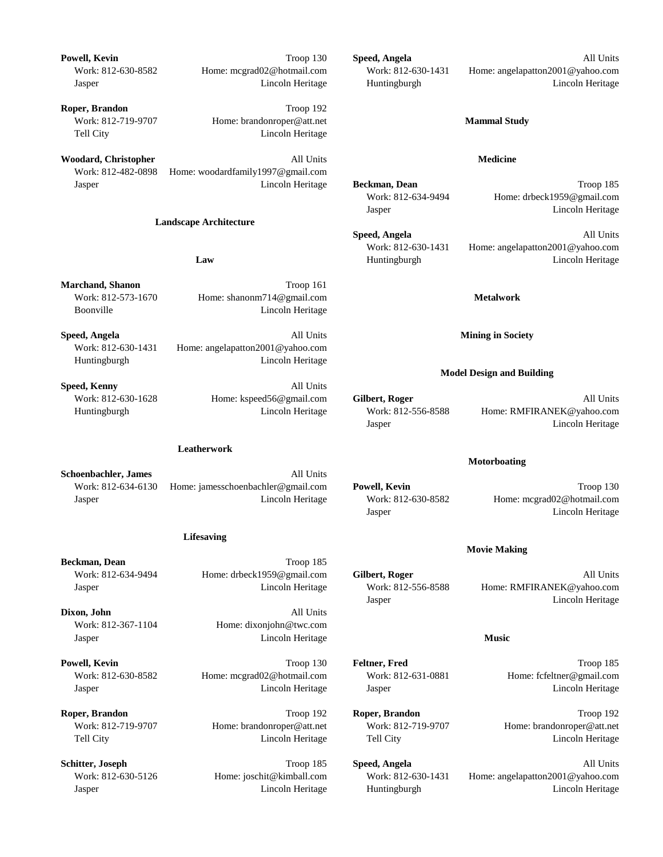**Powell, Kevin** All Units **Powell, Kevin** All Units **Company All Units Company All Units Company All Units Company All Units** Work: 812-630-8582 Home: mcgrad02@hotmail.com Work: 812-630-1431 Home: angelapatton2001@yahoo.com Jasper Lincoln Heritage Huntingburgh Lincoln Heritage **Roper, Brandon** Troop 192 Work: 812-719-9707 Home: brandonroper@att.net **Mammal Study** Tell City Lincoln Heritage **Woodard, Christopher** All Units **Medicine** Work: 812-482-0898 Home: woodardfamily1997@gmail.com Jasper Lincoln Heritage **Beckman, Dean** Troop 185 **Landscape Architecture Law** Huntingburgh Huntingburgh Lincoln Heritage **Marchand, Shanon** Troop 161 Work: 812-573-1670 Home: shanonm714@gmail.com **Metalwork** Boonville Lincoln Heritage

**Speed, Angela All Units Mining in Society Mining in Society** Work: 812-630-1431 Home: angelapatton2001@yahoo.com Huntingburgh Lincoln Heritage

**Speed, Kenny** All Units

### **Leatherwork**

**Schoenbachler, James** All Units

Work: 812-634-6130 Home: jamesschoenbachler@gmail.com **Powell, Kevin** Troop 130 Jasper Lincoln Heritage Work: 812-630-8582 Home: mcgrad02@hotmail.com

### **Lifesaving**

**Beckman, Dean** Troop 185

**Dixon, John** All Units Work: 812-367-1104 Home: dixonjohn@twc.com Jasper Lincoln Heritage **Music**

**Powell, Kevin** Troop 130 **Feltner, Fred** Troop 185 Work: 812-630-8582 Home: mcgrad02@hotmail.com Work: 812-631-0881 Home: fcfeltner@gmail.com Jasper Lincoln Heritage Jasper Lincoln Heritage

Work: 812-634-9494 Home: drbeck1959@gmail.com Jasper Lincoln Heritage

**Speed, Angela** All Units Work: 812-630-1431 Home: angelapatton2001@yahoo.com

### **Model Design and Building**

Work: 812-630-1628 Home: kspeed56@gmail.com Gilbert, Roger All Units Huntingburgh Lincoln Heritage Work: 812-556-8588 Home: RMFIRANEK@yahoo.com Jasper Lincoln Heritage

### **Motorboating**

Jasper Lincoln Heritage

### **Movie Making**

Work: 812-634-9494 Home: drbeck1959@gmail.com **Gilbert, Roger** All Units Jasper Lincoln Heritage Work: 812-556-8588 Home: RMFIRANEK@yahoo.com Jasper Lincoln Heritage

**Roper, Brandon** Troop 192 **Roper, Brandon** Troop 192 Work: 812-719-9707 Home: brandonroper@att.net Work: 812-719-9707 Home: brandonroper@att.net Tell City Lincoln Heritage Tell City Lincoln Heritage

**Schitter, Joseph Company Troop 185 Speed, Angela All Units** All Units Work: 812-630-5126 Home: joschit@kimball.com Work: 812-630-1431 Home: angelapatton2001@yahoo.com Jasper Lincoln Heritage Huntingburgh Lincoln Heritage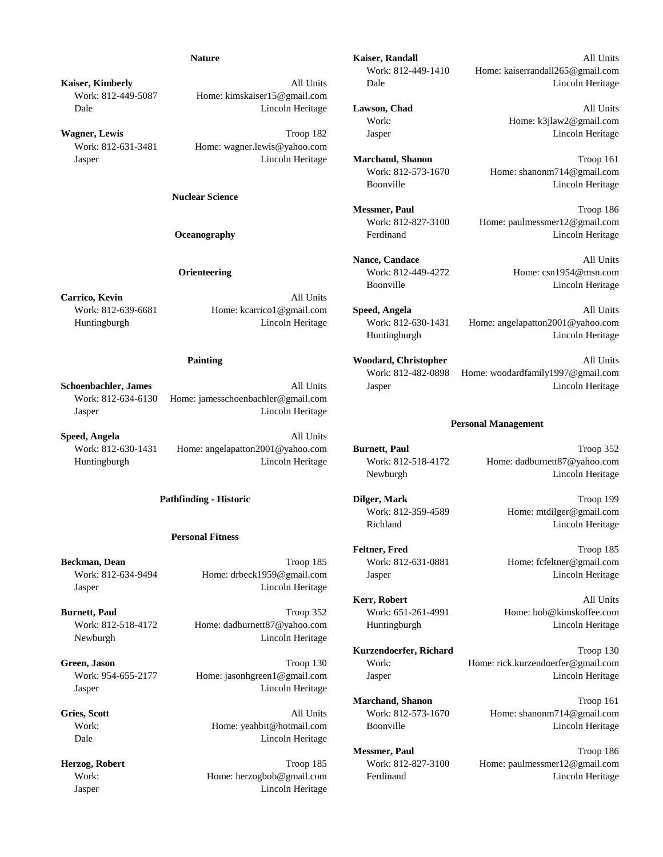Work: 812-449-5087 Home: kimskaiser15@gmail.com

Work: 812-631-3481 Home: wagner.lewis@yahoo.com

**Nuclear Science**

**Carrico, Kevin** All Units

Work: 812-639-6681 Home: kcarrico1@gmail.com **Speed, Angela** All Units

Work: 812-634-6130 Home: jamesschoenbachler@gmail.com Jasper Lincoln Heritage

**Speed, Angela** All Units

### **Personal Fitness**

**Beckman, Dean** Troop 185 Work: 812-631-0881 Home: fcfeltner@gmail.com Work: 812-634-9494 Home: drbeck1959@gmail.com Jasper Lincoln Heritage Lincoln Heritage Jasper Lincoln Heritage

**Burnett, Paul Froop 352** Work: 651-261-4991 Home: bob@kimskoffee.com Work: 812-518-4172 Home: dadburnett87@yahoo.com Huntingburgh Lincoln Heritage Newburgh Lincoln Heritage

Jasper Lincoln Heritage

Dale Lincoln Heritage

Jasper Lincoln Heritage

**Nature Kaiser, Randall Constanting Constanting All Units** 

Work: 812-449-1410 Home: kaiserrandall265@gmail.com **Kaiser, Kimberly All Units** Dale **Lincoln Heritage All Units** Dale **Lincoln Heritage** 

Dale Lincoln Heritage **Lawson, Chad** All Units Work: Home: k3jlaw2@gmail.com **Wagner, Lewis** Chronical Lincoln Heritage Troop 182 Jasper Lincoln Heritage Lincoln Heritage

Jasper Lincoln Heritage **Marchand, Shanon** Troop 161 Work: 812-573-1670 Home: shanonm714@gmail.com Boonville Lincoln Heritage

> **Messmer, Paul Troop 186** Work: 812-827-3100 Home: paulmessmer12@gmail.com **Oceanography Ferdinand Example 2018 Example 2018 Example 2018 Example 2018 Example 2018 Example 2018 Example 2018 Example 2018 Example 2018 Example 2018 Example 2018 Example 2018 Example 2018**

> **Nance, Candace** All Units **Orienteering** Work: 812-449-4272 Home: csn1954@msn.com Boonville Lincoln Heritage

Huntingburgh Lincoln Heritage Work: 812-630-1431 Home: angelapatton2001@yahoo.com Huntingburgh Lincoln Heritage

**Painting All Units Contains All Units Contains All Units All Units All Units All Units All Units All Units All Units All Units All Units All Units All Units All Units All Units All Units All Units All Units All Units All** Work: 812-482-0898 Home: woodardfamily1997@gmail.com **Schoenbachler, James All Units** Jasper **All Units** Jasper **Lincoln Heritage** 

### **Personal Management**

**Pathfinding - Historic Dilger, Mark** Troop 199

Work: 812-630-1431 Home: angelapatton2001@yahoo.com **Burnett, Paul** Troop 352 Huntingburgh Lincoln Heritage Work: 812-518-4172 Home: dadburnett87@yahoo.com Newburgh Lincoln Heritage

> Work: 812-359-4589 Home: mtdilger@gmail.com Richland Lincoln Heritage

Feltner, Fred Troop 185

**Kerr, Robert** All Units

**Kurzendoerfer, Richard** Troop 130 **Green, Jason** Troop 130 Work: Home: rick.kurzendoerfer@gmail.com Work: 954-655-2177 Home: jasonhgreen1@gmail.com Jasper Jasper Lincoln Heritage

**Marchand, Shanon** Troop 161 **Gries, Scott** All Units Work: 812-573-1670 Home: shanonm714@gmail.com Work: Home: yeahbit@hotmail.com Boonville Lincoln Heritage

**Messmer, Paul** Troop 186 **Herzog, Robert** Troop 185 Work: 812-827-3100 Home: paulmessmer12@gmail.com Work: Home: herzogbob@gmail.com Ferdinand Eincoln Heritage Lincoln Heritage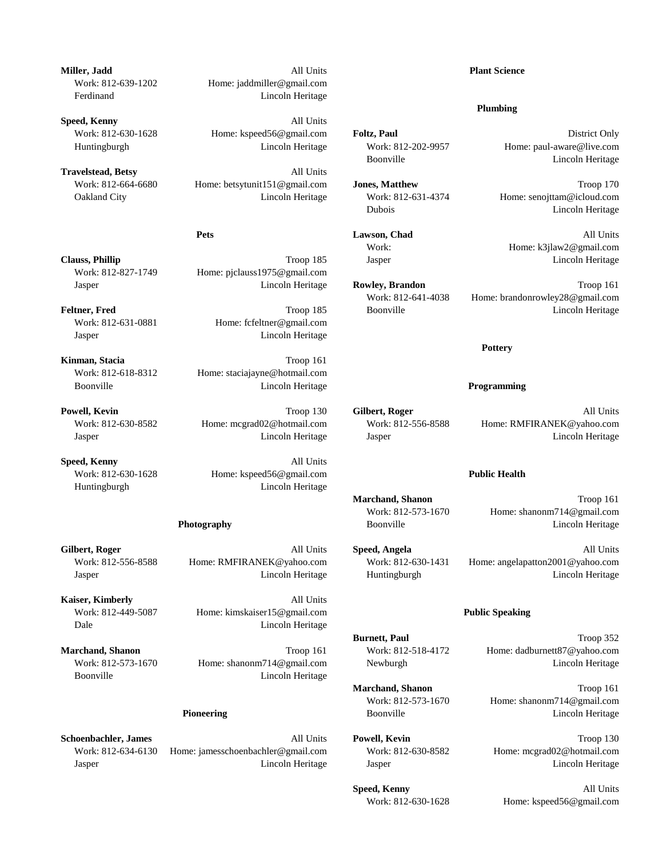**Schoenbachler, James All Units <b>Powell, Kevin Powell, Kevin Troop 130** Work: 812-634-6130 Home: jamesschoenbachler@gmail.com Work: 812-630-8582 Home: mcgrad02@hotmail.com Jasper Lincoln Heritage Jasper Lincoln Heritage

**Miller, Jadd Plant Science Plant Science Plant Science Plant Science** Work: 812-639-1202 Home: jaddmiller@gmail.com Ferdinand Lincoln Heritage

**Speed, Kenny** All Units Work: 812-630-1628 Home: kspeed56@gmail.com **Foltz, Paul Example 2018** District Only Huntingburgh Lincoln Heritage Work: 812-202-9957 Home: paul-aware@live.com

**Travelstead, Betsy** All Units Work: 812-664-6680 Home: betsytunit151@gmail.com **Jones, Matthew** Troop 170 Oakland City Lincoln Heritage Work: 812-631-4374 Home: senojttam@icloud.com

**Clauss, Phillip** Clauss, **Phillip** Troop 185 Jasper Lincoln Heritage Work: 812-827-1749 Home: pjclauss1975@gmail.com

Work: 812-631-0881 Home: fcfeltner@gmail.com Jasper Lincoln Heritage

**Kinman, Stacia** Troop 161 Work: 812-618-8312 Home: staciajayne@hotmail.com Boonville Lincoln Heritage **Programming**

**Speed, Kenny** All Units Work: 812-630-1628 Home: kspeed56@gmail.com **Public Health** Huntingburgh Lincoln Heritage

**Kaiser, Kimberly All Units** Work: 812-449-5087 Home: kimskaiser15@gmail.com **Public Speaking** Dale Lincoln Heritage

**Marchand, Shanon** Troop 161 Work: 812-518-4172 Home: dadburnett87@yahoo.com Work: 812-573-1670 Home: shanonm714@gmail.com Newburgh Lincoln Heritage Lincoln Heritage Boonville Lincoln Heritage

### **Plumbing**

Boonville Lincoln Heritage

Dubois Lincoln Heritage

**Pets Lawson, Chad All Units** Work: Home: k3jlaw2@gmail.com

Jasper Lincoln Heritage **Rowley, Brandon** Troop 161 Work: 812-641-4038 Home: brandonrowley28@gmail.com **Feltner, Fred** Eincoln Heritage Constant Troop 185 Boonville Constant Lincoln Heritage

### **Pottery**

**Powell, Kevin** All Units **Powell, Kevin** All Units **Company All Units Company All Units All Units All Units** Work: 812-630-8582 Home: mcgrad02@hotmail.com Work: 812-556-8588 Home: RMFIRANEK@yahoo.com Jasper Lincoln Heritage Jasper Lincoln Heritage

**Marchand, Shanon** Troop 161 Work: 812-573-1670 Home: shanonm714@gmail.com **Photography** Boonville **Boonville** Lincoln Heritage

**Gilbert, Roger** All Units **Speed, Angela** All Units Work: 812-556-8588 Home: RMFIRANEK@yahoo.com Work: 812-630-1431 Home: angelapatton2001@yahoo.com Jasper Lincoln Heritage Huntingburgh Lincoln Heritage

**Burnett, Paul** Troop 352

**Marchand, Shanon** Troop 161 Work: 812-573-1670 Home: shanonm714@gmail.com **Pioneering Solution Boonville Representation Controller Encycloptering Lincoln Heritage Representation Boonville Lincoln Heritage District American Boonville Representation American American American American American Ame** 

**Speed, Kenny** All Units Work: 812-630-1628 Home: kspeed56@gmail.com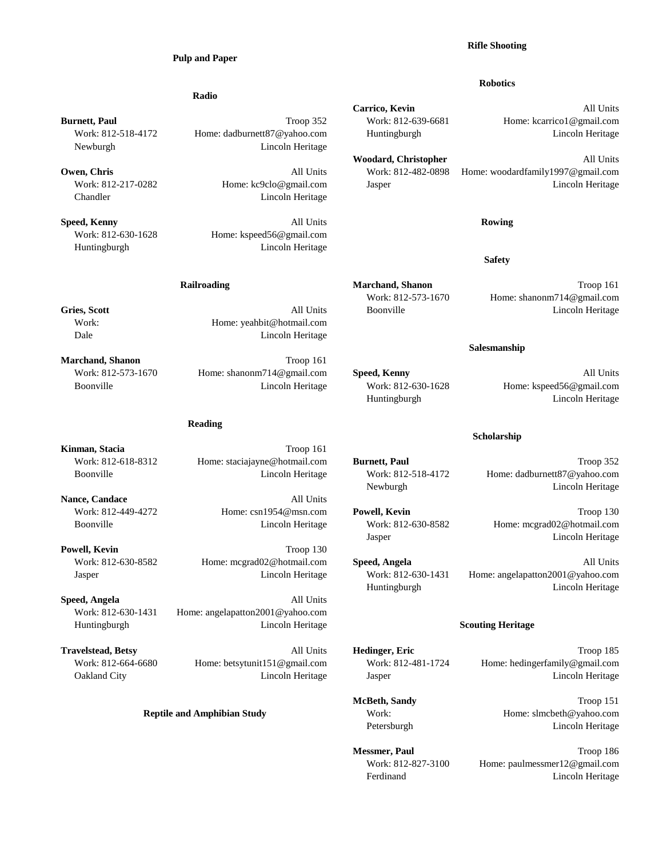### **Pulp and Paper**

### **Radio**

Newburgh Lincoln Heritage

Chandler Lincoln Heritage

**Speed, Kenny Rowing Rowing Rowing All Units Rowing Rowing Rowing** Work: 812-630-1628 Home: kspeed56@gmail.com Huntingburgh Lincoln Heritage

Work: Home: yeahbit@hotmail.com Dale Lincoln Heritage

**Marchand, Shanon** Troop 161 Work: 812-573-1670 Home: shanonm714@gmail.com **Speed, Kenny All Units** All Units Boonville Lincoln Heritage Work: 812-630-1628 Home: kspeed56@gmail.com

### **Reading**

Kinman, Stacia Troop 161 Work: 812-618-8312 Home: staciajayne@hotmail.com **Burnett, Paul** Troop 352 Boonville Lincoln Heritage Work: 812-518-4172 Home: dadburnett87@yahoo.com

**Nance, Candace** All Units Work: 812-449-4272 Home: csn1954@msn.com **Powell, Kevin** Troop 130 Boonville Lincoln Heritage Work: 812-630-8582 Home: mcgrad02@hotmail.com

**Powell, Kevin** Troop 130 Jasper Lincoln Heritage Work: 812-630-1431 Home: angelapatton2001@yahoo.com

**Speed, Angela** All Units Work: 812-630-1431 Home: angelapatton2001@yahoo.com Huntingburgh Lincoln Heritage **Scouting Heritage**

# **Rifle Shooting**

### **Robotics**

**Carrico, Kevin** All Units **Burnett, Paul Burnett, Paul Example 2018** Troop 352 Work: 812-639-6681 Home: kcarrico1@gmail.com Work: 812-518-4172 Home: dadburnett87@yahoo.com Huntingburgh Lincoln Heritage

**Woodard, Christopher** All Units **Owen, Chris Chris Chris Chris All Units Work: 812-482-0898** Home: woodardfamily1997@gmail.com Work: 812-217-0282 Home: kc9clo@gmail.com Jasper Lincoln Heritage

**Safety**

**Railroading Troop 161 Marchand, Shanon Marchand, Shanon Troop 161** Work: 812-573-1670 Home: shanonm714@gmail.com **Gries, Scott All Units** Boonville **Calcular Exception** Eincoln Heritage

### **Salesmanship**

Huntingburgh Lincoln Heritage

### **Scholarship**

Newburgh Lincoln Heritage

Jasper Lincoln Heritage

Huntingburgh Lincoln Heritage

Work: 812-630-8582 Home: mcgrad02@hotmail.com **Speed, Angela** All Units

**Travelstead, Betsy All Units Hedinger, Eric All Units Hedinger, Eric Troop 185** Work: 812-664-6680 Home: betsytunit151@gmail.com Work: 812-481-1724 Home: hedingerfamily@gmail.com Oakland City Lincoln Heritage Jasper Lincoln Heritage

> **McBeth, Sandy** Troop 151 **Reptile and Amphibian Study Work:** Work: Home: slmcbeth@yahoo.com Petersburgh Lincoln Heritage

> > **Messmer, Paul** Troop 186 Work: 812-827-3100 Home: paulmessmer12@gmail.com Ferdinand Lincoln Heritage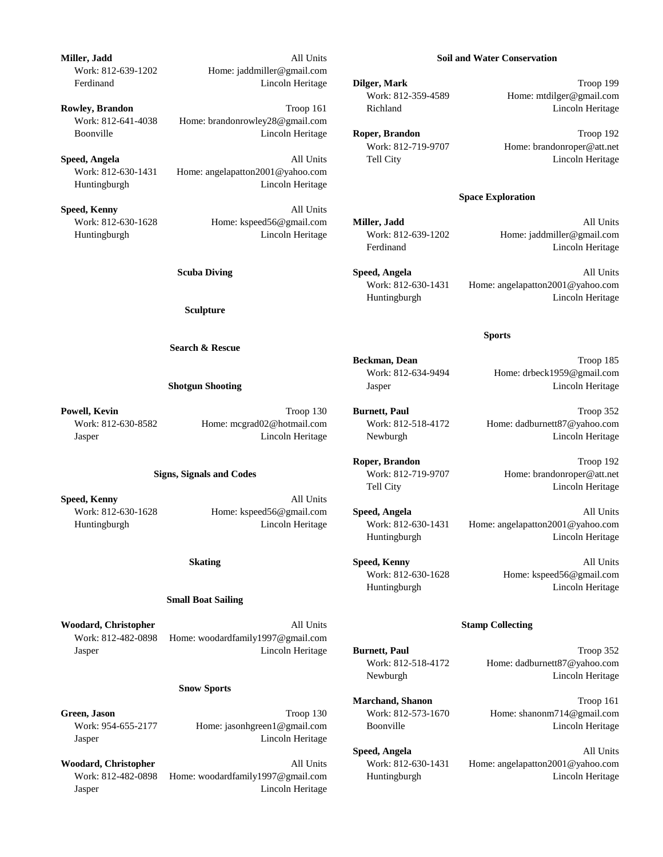**Miller, Jadd** All Units **Soil and Water Conservation** Work: 812-639-1202 Home: jaddmiller@gmail.com Ferdinand Lincoln Heritage **Dilger, Mark** Troop 199

**Rowley, Brandon Richland Richland Richland Lincoln Heritage Lincoln Heritage** Work: 812-641-4038 Home: brandonrowley28@gmail.com Boonville Lincoln Heritage **Roper, Brandon** Troop 192

**Speed, Angela All Units** Tell City **Constanting Constanting Constanting Constanting Constanting Constanting Constanting Constanting Constanting Constanting Constanting Constanting Constanting Constanting Constanting Con** Work: 812-630-1431 Home: angelapatton2001@yahoo.com Huntingburgh Lincoln Heritage

**Speed, Kenny** All Units Work: 812-630-1628 Home: kspeed56@gmail.com **Miller, Jadd** All Units Huntingburgh Lincoln Heritage Work: 812-639-1202 Home: jaddmiller@gmail.com

**Sculpture**

### **Search & Rescue**

**Powell, Kevin** Troop 130 **Burnett, Paul** Troop 352 Work: 812-630-8582 Home: mcgrad02@hotmail.com Work: 812-518-4172 Home: dadburnett87@yahoo.com Jasper Lincoln Heritage Newburgh Lincoln Heritage

**Speed, Kenny** All Units Work: 812-630-1628 Home: kspeed56@gmail.com **Speed, Angela** All Units

### **Small Boat Sailing**

**Woodard, Christopher All Units All Units Stamp Collecting** Work: 812-482-0898 Home: woodardfamily1997@gmail.com Jasper Lincoln Heritage **Burnett, Paul** Troop 352

### **Snow Sports**

Jasper Lincoln Heritage

**Woodard, Christopher** All Units Work: 812-630-1431 Home: angelapatton2001@yahoo.com Work: 812-482-0898 Home: woodardfamily1997@gmail.com Huntingburgh Lincoln Heritage Jasper Lincoln Heritage

Work: 812-359-4589 Home: mtdilger@gmail.com

Work: 812-719-9707 Home: brandonroper@att.net

### **Space Exploration**

Ferdinand Lincoln Heritage

**Scuba Diving 2018 19:20 Speed, Angela** All Units 20:20 All Units Work: 812-630-1431 Home: angelapatton2001@yahoo.com Huntingburgh Lincoln Heritage

### **Sports**

**Beckman, Dean** Troop 185 Work: 812-634-9494 Home: drbeck1959@gmail.com **Shotgun Shooting** Shotgun **Jasper** Jasper Lincoln Heritage

**Signs, Signals and Codes** Work: 812-719-9707 Home: brandonroper@att.net Tell City **Lincoln Heritage** 

Huntingburgh Lincoln Heritage Work: 812-630-1431 Home: angelapatton2001@yahoo.com Huntingburgh Lincoln Heritage

> **Skating All Units Speed, Kenny All Units All Units All Units All Units All Units All Units All Units All Units All Units All Units All Units All Units All Units All Units All Units All Units All Units All Units All Units** Work: 812-630-1628 Home: kspeed56@gmail.com Huntingburgh Lincoln Heritage

Work: 812-518-4172 Home: dadburnett87@yahoo.com Newburgh Lincoln Heritage

**Marchand, Shanon** Troop 161 **Green, Jason** Troop 130 Work: 812-573-1670 Home: shanonm714@gmail.com Work: 954-655-2177 Home: jasonhgreen1@gmail.com Boonville Lincoln Heritage Lincoln Heritage

**Speed, Angela** All Units

**Roper, Brandon** Troop 192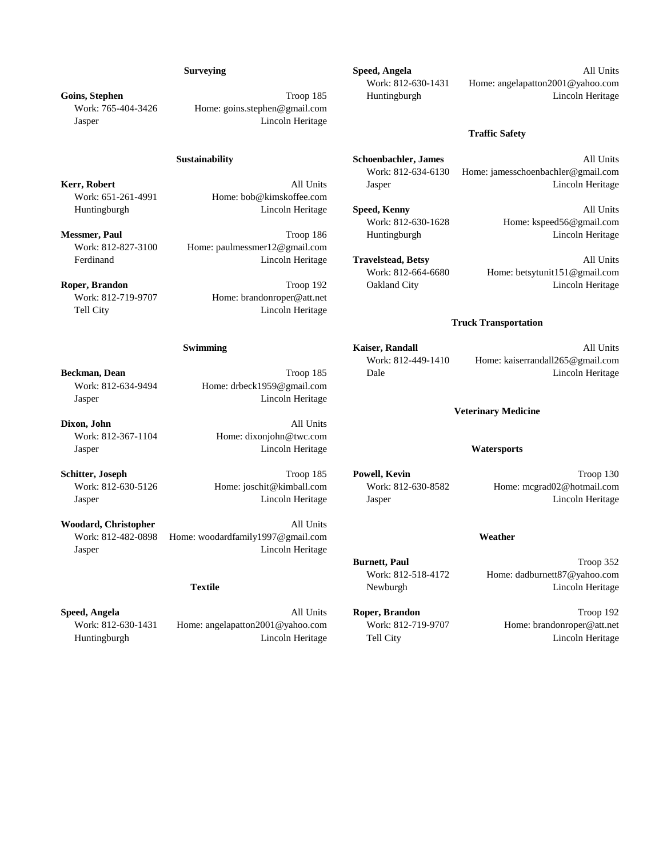Work: 765-404-3426 Home: goins.stephen@gmail.com Jasper Lincoln Heritage

Work: 651-261-4991 Home: bob@kimskoffee.com

Work: 812-827-3100 Home: paulmessmer12@gmail.com

Work: 812-719-9707 Home: brandonroper@att.net Tell City **Lincoln Heritage** 

Work: 812-634-9494 Home: drbeck1959@gmail.com Jasper Lincoln Heritage

**Dixon, John** All Units Work: 812-367-1104 Home: dixonjohn@twc.com Jasper Lincoln Heritage **Watersports**

Jasper Lincoln Heritage

Woodard, Christopher All Units Work: 812-482-0898 Home: woodardfamily1997@gmail.com **Weather**

**Speed, Angela All Units <b>Roper, Brandon Conserved, Angela Conserved, Angela All Units Roper, Brandon Troop 192** Work: 812-630-1431 Home: angelapatton2001@yahoo.com Work: 812-719-9707 Home: brandonroper@att.net Huntingburgh Lincoln Heritage Tell City Lincoln Heritage

**Surveying Speed, Angela All Units All Units** Work: 812-630-1431 Home: angelapatton2001@yahoo.com **Goins, Stephen** Troop 185 Huntingburgh Lincoln Heritage Lincoln Heritage

### **Traffic Safety**

**Sustainability Schoenbachler, James** All Units Work: 812-634-6130 Home: jamesschoenbachler@gmail.com **Kerr, Robert All Units** Jasper **All Units** Jasper **Lincoln Heritage** 

Huntingburgh Lincoln Heritage **Speed, Kenny** All Units Work: 812-630-1628 Home: kspeed56@gmail.com **Messmer, Paul Troop 186** Huntingburgh Lincoln Heritage Lincoln Heritage **Lincoln Heritage** 

**Roper, Brandon Community Community Community Community Community Community Community Community Community Community Community Community Community Community Community Community Community Community Community Community Comm** 

Ferdinand Lincoln Heritage **Travelstead, Betsy** All Units Work: 812-664-6680 Home: betsytunit151@gmail.com

### **Truck Transportation**

**Swimming** All Units **Kaiser, Randall Kaiser All Units** All Units Work: 812-449-1410 Home: kaiserrandall265@gmail.com **Beckman, Dean Community Community Community Community Community Community Community Community Community Community Community Community Community Community Community Community Community Community Community Community Commu** 

### **Veterinary Medicine**

**Schitter, Joseph** Troop 185 **Powell, Kevin** Troop 130 Work: 812-630-5126 Home: joschit@kimball.com Work: 812-630-8582 Home: mcgrad02@hotmail.com Jasper Lincoln Heritage Jasper Lincoln Heritage

**Burnett, Paul** Troop 352 Work: 812-518-4172 Home: dadburnett87@yahoo.com **Textile Newburgh Lincoln Heritage Lincoln Heritage**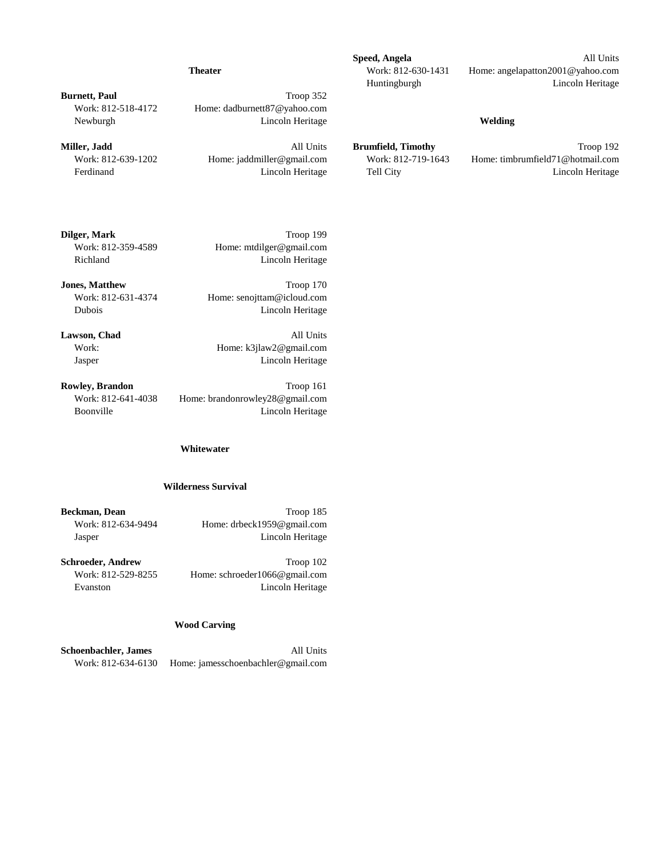**Burnett, Paul** Troop 352 Work: 812-518-4172 Home: dadburnett87@yahoo.com Newburgh Lincoln Heritage **Welding**

**Dilger, Mark** Troop 199 Work: 812-359-4589 Home: mtdilger@gmail.com Richland Lincoln Heritage

**Jones, Matthew Troop 170** Work: 812-631-4374 Home: senojttam@icloud.com Dubois Lincoln Heritage

Lawson, Chad All Units Work: Home: k3jlaw2@gmail.com Jasper Lincoln Heritage

**Rowley, Brandon** Troop 161 Work: 812-641-4038 Home: brandonrowley28@gmail.com Boonville Lincoln Heritage

### **Whitewater**

### **Wilderness Survival**

**Beckman, Dean** Troop 185 Work: 812-634-9494 Home: drbeck1959@gmail.com Jasper Lincoln Heritage

**Schroeder, Andrew Troop 102** Work: 812-529-8255 Home: schroeder1066@gmail.com

Evanston Lincoln Heritage

### **Wood Carving**

**Schoenbachler, James** All Units Work: 812-634-6130 Home: jamesschoenbachler@gmail.com

**Speed, Angela** All Units **Theater** Work: 812-630-1431 Home: angelapatton2001@yahoo.com Huntingburgh Lincoln Heritage

**Miller, Jadd** Troop 192 Work: 812-639-1202 Home: jaddmiller@gmail.com Work: 812-719-1643 Home: timbrumfield71@hotmail.com Ferdinand Lincoln Heritage Tell City Lincoln Heritage